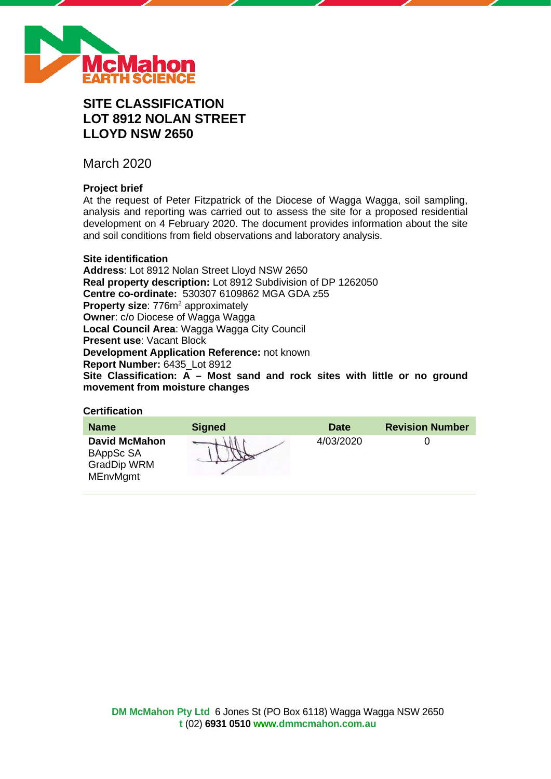

# **SITE CLASSIFICATION LOT 8912 NOLAN STREET LLOYD NSW 2650**

March 2020

## **Project brief**

At the request of Peter Fitzpatrick of the Diocese of Wagga Wagga, soil sampling, analysis and reporting was carried out to assess the site for a proposed residential development on 4 February 2020. The document provides information about the site and soil conditions from field observations and laboratory analysis.

#### **Site identification**

**Address**: Lot 8912 Nolan Street Lloyd NSW 2650 **Real property description:** Lot 8912 Subdivision of DP 1262050 **Centre co-ordinate:** 530307 6109862 MGA GDA z55 **Property size: 776m<sup>2</sup> approximately Owner**: c/o Diocese of Wagga Wagga **Local Council Area**: Wagga Wagga City Council **Present use**: Vacant Block **Development Application Reference:** not known **Report Number:** 6435\_Lot 8912 **Site Classification: A – Most sand and rock sites with little or no ground movement from moisture changes**

## **Certification**

| <b>Name</b>                                                                | <b>Signed</b> | <b>Date</b> | <b>Revision Number</b> |
|----------------------------------------------------------------------------|---------------|-------------|------------------------|
| <b>David McMahon</b><br>BAppSc SA<br><b>GradDip WRM</b><br><b>MEnvMgmt</b> |               | 4/03/2020   |                        |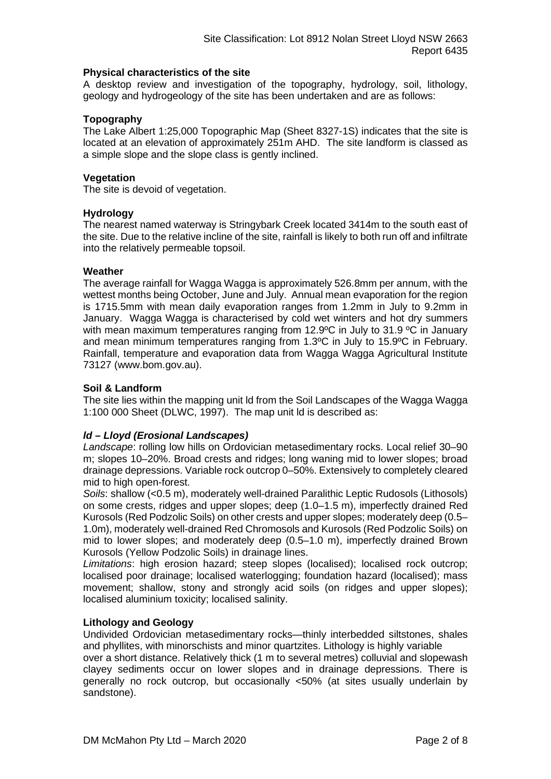#### **Physical characteristics of the site**

A desktop review and investigation of the topography, hydrology, soil, lithology, geology and hydrogeology of the site has been undertaken and are as follows:

## **Topography**

The Lake Albert 1:25,000 Topographic Map (Sheet 8327-1S) indicates that the site is located at an elevation of approximately 251m AHD. The site landform is classed as a simple slope and the slope class is gently inclined.

#### **Vegetation**

The site is devoid of vegetation.

#### **Hydrology**

The nearest named waterway is Stringybark Creek located 3414m to the south east of the site. Due to the relative incline of the site, rainfall is likely to both run off and infiltrate into the relatively permeable topsoil.

#### **Weather**

The average rainfall for Wagga Wagga is approximately 526.8mm per annum, with the wettest months being October, June and July. Annual mean evaporation for the region is 1715.5mm with mean daily evaporation ranges from 1.2mm in July to 9.2mm in January. Wagga Wagga is characterised by cold wet winters and hot dry summers with mean maximum temperatures ranging from 12.9°C in July to 31.9 °C in January and mean minimum temperatures ranging from 1.3ºC in July to 15.9ºC in February. Rainfall, temperature and evaporation data from Wagga Wagga Agricultural Institute 73127 (www.bom.gov.au).

#### **Soil & Landform**

The site lies within the mapping unit ld from the Soil Landscapes of the Wagga Wagga 1:100 000 Sheet (DLWC, 1997). The map unit ld is described as:

## *ld – Lloyd (Erosional Landscapes)*

*Landscape*: rolling low hills on Ordovician metasedimentary rocks. Local relief 30–90 m; slopes 10–20%. Broad crests and ridges; long waning mid to lower slopes; broad drainage depressions. Variable rock outcrop 0–50%. Extensively to completely cleared mid to high open-forest.

*Soils*: shallow (<0.5 m), moderately well-drained Paralithic Leptic Rudosols (Lithosols) on some crests, ridges and upper slopes; deep (1.0–1.5 m), imperfectly drained Red Kurosols (Red Podzolic Soils) on other crests and upper slopes; moderately deep (0.5– 1.0m), moderately well-drained Red Chromosols and Kurosols (Red Podzolic Soils) on mid to lower slopes; and moderately deep (0.5–1.0 m), imperfectly drained Brown Kurosols (Yellow Podzolic Soils) in drainage lines.

*Limitations*: high erosion hazard; steep slopes (localised); localised rock outcrop; localised poor drainage; localised waterlogging; foundation hazard (localised); mass movement; shallow, stony and strongly acid soils (on ridges and upper slopes); localised aluminium toxicity; localised salinity.

#### **Lithology and Geology**

Undivided Ordovician metasedimentary rocks—thinly interbedded siltstones, shales and phyllites, with minorschists and minor quartzites. Lithology is highly variable

over a short distance. Relatively thick (1 m to several metres) colluvial and slopewash clayey sediments occur on lower slopes and in drainage depressions. There is generally no rock outcrop, but occasionally <50% (at sites usually underlain by sandstone).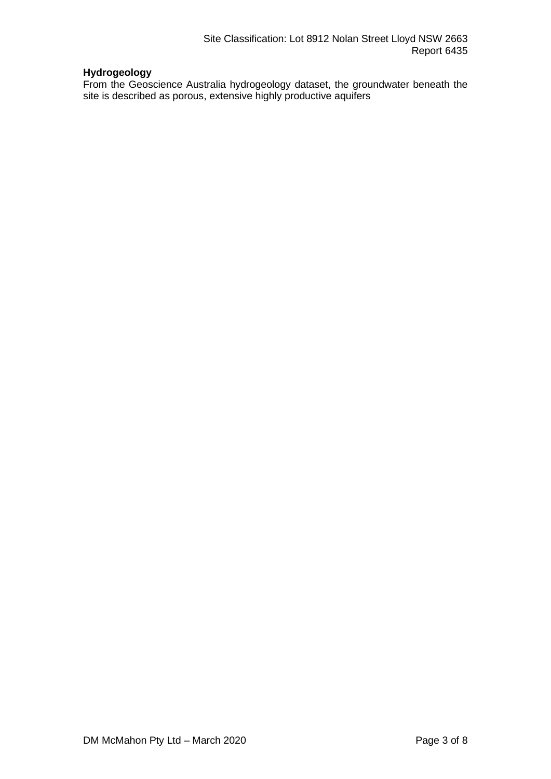# **Hydrogeology**

From the Geoscience Australia hydrogeology dataset, the groundwater beneath the site is described as porous, extensive highly productive aquifers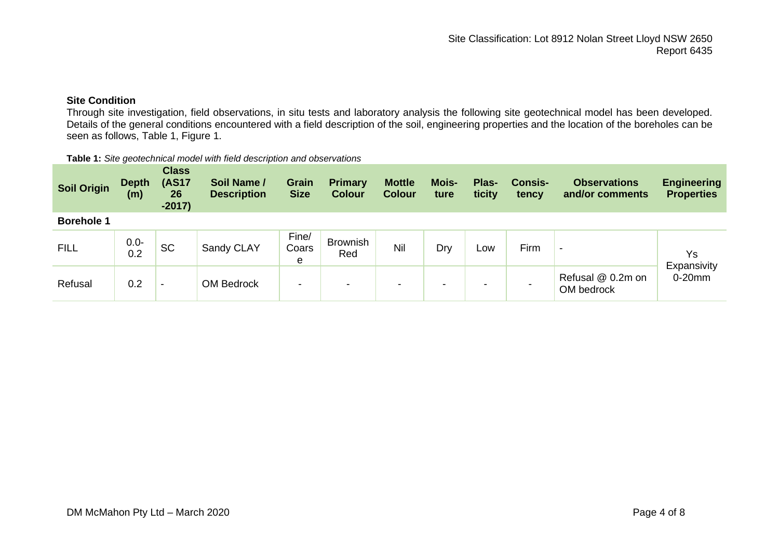## **Site Condition**

Through site investigation, field observations, in situ tests and laboratory analysis the following site geotechnical model has been developed. Details of the general conditions encountered with a field description of the soil, engineering properties and the location of the boreholes can be seen as follows, Table 1, Figure 1.

| Table 1: Site geotechnical model with field description and observations |  |
|--------------------------------------------------------------------------|--|
|--------------------------------------------------------------------------|--|

| <b>Soil Origin</b> | <b>Depth</b><br>(m) | <b>Class</b><br><b>(AS17</b><br>26<br>$-2017)$ | Soil Name /<br><b>Description</b> | <b>Grain</b><br><b>Size</b> | <b>Primary</b><br><b>Colour</b> | <b>Mottle</b><br><b>Colour</b> | <b>Mois-</b><br>ture     | Plas-<br>ticity | <b>Consis-</b><br>tency | <b>Observations</b><br>and/or comments | <b>Engineering</b><br><b>Properties</b> |
|--------------------|---------------------|------------------------------------------------|-----------------------------------|-----------------------------|---------------------------------|--------------------------------|--------------------------|-----------------|-------------------------|----------------------------------------|-----------------------------------------|
| <b>Borehole 1</b>  |                     |                                                |                                   |                             |                                 |                                |                          |                 |                         |                                        |                                         |
| <b>FILL</b>        | $0.0 -$<br>0.2      | <b>SC</b>                                      | Sandy CLAY                        | Fine/<br>Coars<br>e         | <b>Brownish</b><br>Red          | Nil                            | Dry                      | Low             | Firm                    | $\,$                                   | Ys<br>Expansivity<br>$0-20$ mm          |
| Refusal            | 0.2                 | $\overline{\phantom{0}}$                       | <b>OM Bedrock</b>                 | $\blacksquare$              | $\,$                            | -                              | $\overline{\phantom{a}}$ | -               |                         | Refusal @ 0.2m on<br>OM bedrock        |                                         |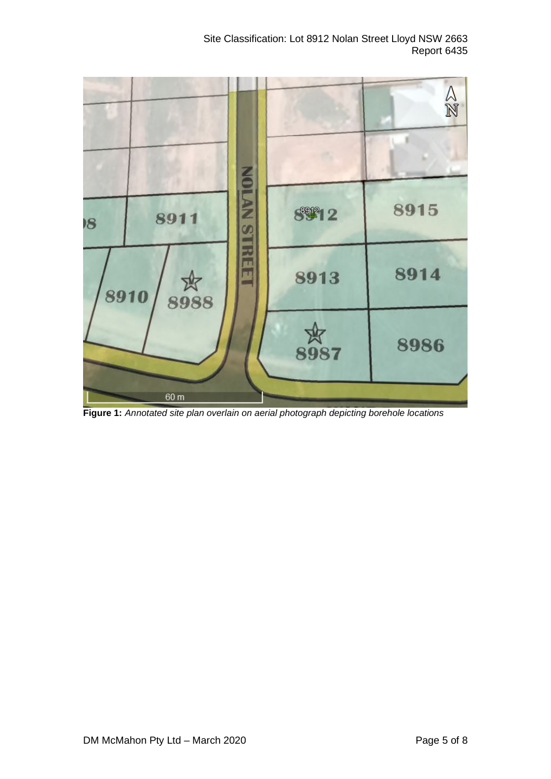

**Figure 1:** *Annotated site plan overlain on aerial photograph depicting borehole locations*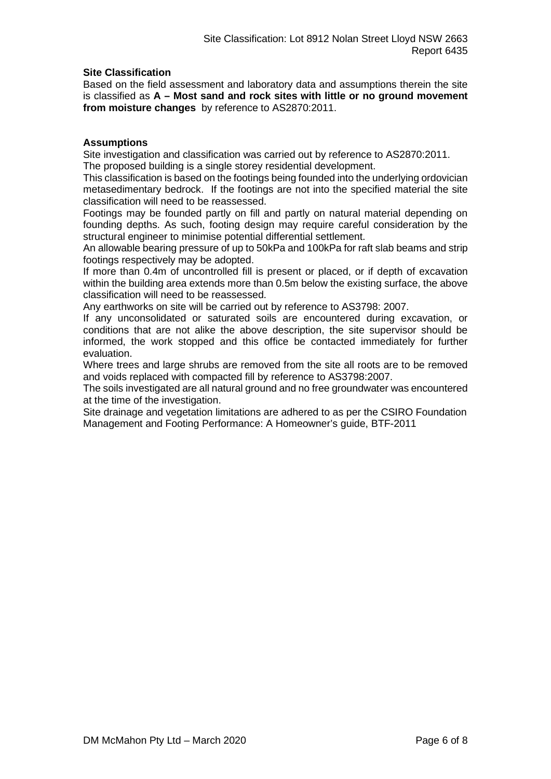## **Site Classification**

Based on the field assessment and laboratory data and assumptions therein the site is classified as **A – Most sand and rock sites with little or no ground movement from moisture changes** by reference to AS2870:2011.

#### **Assumptions**

Site investigation and classification was carried out by reference to AS2870:2011. The proposed building is a single storey residential development.

This classification is based on the footings being founded into the underlying ordovician metasedimentary bedrock. If the footings are not into the specified material the site classification will need to be reassessed.

Footings may be founded partly on fill and partly on natural material depending on founding depths. As such, footing design may require careful consideration by the structural engineer to minimise potential differential settlement.

An allowable bearing pressure of up to 50kPa and 100kPa for raft slab beams and strip footings respectively may be adopted.

If more than 0.4m of uncontrolled fill is present or placed, or if depth of excavation within the building area extends more than 0.5m below the existing surface, the above classification will need to be reassessed.

Any earthworks on site will be carried out by reference to AS3798: 2007.

If any unconsolidated or saturated soils are encountered during excavation, or conditions that are not alike the above description, the site supervisor should be informed, the work stopped and this office be contacted immediately for further evaluation.

Where trees and large shrubs are removed from the site all roots are to be removed and voids replaced with compacted fill by reference to AS3798:2007.

The soils investigated are all natural ground and no free groundwater was encountered at the time of the investigation.

Site drainage and vegetation limitations are adhered to as per the CSIRO Foundation Management and Footing Performance: A Homeowner's guide, BTF-2011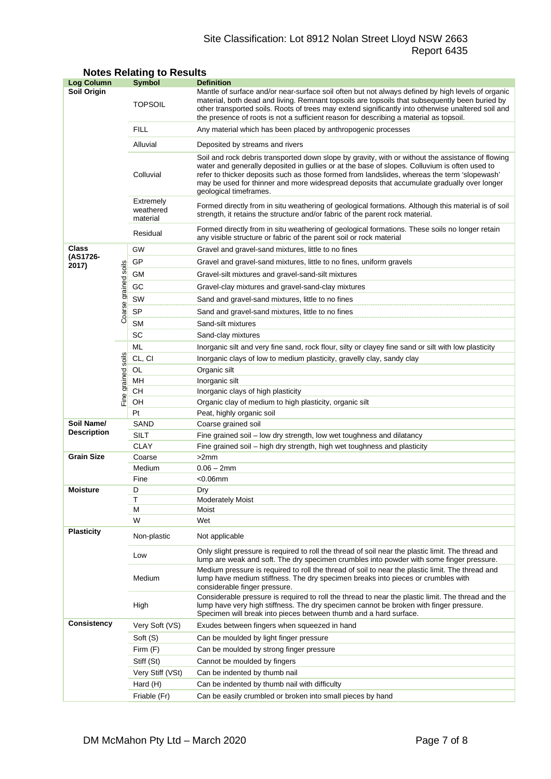## Site Classification: Lot 8912 Nolan Street Lloyd NSW 2663 Report 6435

| <b>Log Column</b>                |                      | Symbol                                                                                                                                                                                                | <b>Definition</b>                                                                                                                                                                                                                                                                                                                                                                                                          |  |  |  |  |  |
|----------------------------------|----------------------|-------------------------------------------------------------------------------------------------------------------------------------------------------------------------------------------------------|----------------------------------------------------------------------------------------------------------------------------------------------------------------------------------------------------------------------------------------------------------------------------------------------------------------------------------------------------------------------------------------------------------------------------|--|--|--|--|--|
| Soil Origin                      |                      | <b>TOPSOIL</b>                                                                                                                                                                                        | Mantle of surface and/or near-surface soil often but not always defined by high levels of organic<br>material, both dead and living. Remnant topsoils are topsoils that subsequently been buried by<br>other transported soils. Roots of trees may extend significantly into otherwise unaltered soil and<br>the presence of roots is not a sufficient reason for describing a material as topsoil.                        |  |  |  |  |  |
|                                  |                      | <b>FILL</b>                                                                                                                                                                                           | Any material which has been placed by anthropogenic processes                                                                                                                                                                                                                                                                                                                                                              |  |  |  |  |  |
|                                  |                      | Alluvial                                                                                                                                                                                              | Deposited by streams and rivers                                                                                                                                                                                                                                                                                                                                                                                            |  |  |  |  |  |
|                                  |                      | Colluvial                                                                                                                                                                                             | Soil and rock debris transported down slope by gravity, with or without the assistance of flowing<br>water and generally deposited in gullies or at the base of slopes. Colluvium is often used to<br>refer to thicker deposits such as those formed from landslides, whereas the term 'slopewash'<br>may be used for thinner and more widespread deposits that accumulate gradually over longer<br>geological timeframes. |  |  |  |  |  |
|                                  |                      | Extremely<br>weathered<br>material                                                                                                                                                                    | Formed directly from in situ weathering of geological formations. Although this material is of soil<br>strength, it retains the structure and/or fabric of the parent rock material.                                                                                                                                                                                                                                       |  |  |  |  |  |
|                                  |                      | Residual                                                                                                                                                                                              | Formed directly from in situ weathering of geological formations. These soils no longer retain<br>any visible structure or fabric of the parent soil or rock material                                                                                                                                                                                                                                                      |  |  |  |  |  |
| Class                            |                      | GW<br>Gravel and gravel-sand mixtures, little to no fines                                                                                                                                             |                                                                                                                                                                                                                                                                                                                                                                                                                            |  |  |  |  |  |
| (AS1726-<br>2017)                |                      | GP                                                                                                                                                                                                    | Gravel and gravel-sand mixtures, little to no fines, uniform gravels                                                                                                                                                                                                                                                                                                                                                       |  |  |  |  |  |
|                                  |                      | GМ                                                                                                                                                                                                    | Gravel-silt mixtures and gravel-sand-silt mixtures                                                                                                                                                                                                                                                                                                                                                                         |  |  |  |  |  |
|                                  |                      | GC                                                                                                                                                                                                    | Gravel-clay mixtures and gravel-sand-clay mixtures                                                                                                                                                                                                                                                                                                                                                                         |  |  |  |  |  |
|                                  |                      | SW                                                                                                                                                                                                    | Sand and gravel-sand mixtures, little to no fines                                                                                                                                                                                                                                                                                                                                                                          |  |  |  |  |  |
|                                  |                      | SP                                                                                                                                                                                                    |                                                                                                                                                                                                                                                                                                                                                                                                                            |  |  |  |  |  |
|                                  | Coarse grained soils | <b>SM</b>                                                                                                                                                                                             | Sand and gravel-sand mixtures, little to no fines                                                                                                                                                                                                                                                                                                                                                                          |  |  |  |  |  |
|                                  |                      | SC                                                                                                                                                                                                    | Sand-silt mixtures<br>Sand-clay mixtures                                                                                                                                                                                                                                                                                                                                                                                   |  |  |  |  |  |
|                                  |                      | ML                                                                                                                                                                                                    |                                                                                                                                                                                                                                                                                                                                                                                                                            |  |  |  |  |  |
|                                  |                      |                                                                                                                                                                                                       | Inorganic silt and very fine sand, rock flour, silty or clayey fine sand or silt with low plasticity                                                                                                                                                                                                                                                                                                                       |  |  |  |  |  |
|                                  |                      | CL, CI<br>OL                                                                                                                                                                                          | Inorganic clays of low to medium plasticity, gravelly clay, sandy clay<br>Organic silt                                                                                                                                                                                                                                                                                                                                     |  |  |  |  |  |
|                                  |                      | MH                                                                                                                                                                                                    | Inorganic silt                                                                                                                                                                                                                                                                                                                                                                                                             |  |  |  |  |  |
|                                  | Fine grained soils   | CН                                                                                                                                                                                                    | Inorganic clays of high plasticity                                                                                                                                                                                                                                                                                                                                                                                         |  |  |  |  |  |
|                                  |                      | OH                                                                                                                                                                                                    | Organic clay of medium to high plasticity, organic silt                                                                                                                                                                                                                                                                                                                                                                    |  |  |  |  |  |
|                                  |                      | Pt                                                                                                                                                                                                    | Peat, highly organic soil                                                                                                                                                                                                                                                                                                                                                                                                  |  |  |  |  |  |
| Soil Name/<br><b>Description</b> |                      | SAND                                                                                                                                                                                                  | Coarse grained soil                                                                                                                                                                                                                                                                                                                                                                                                        |  |  |  |  |  |
|                                  |                      | SILT                                                                                                                                                                                                  | Fine grained soil - low dry strength, low wet toughness and dilatancy                                                                                                                                                                                                                                                                                                                                                      |  |  |  |  |  |
|                                  |                      | <b>CLAY</b>                                                                                                                                                                                           | Fine grained soil – high dry strength, high wet toughness and plasticity                                                                                                                                                                                                                                                                                                                                                   |  |  |  |  |  |
| <b>Grain Size</b>                |                      | Coarse                                                                                                                                                                                                | >2mm                                                                                                                                                                                                                                                                                                                                                                                                                       |  |  |  |  |  |
|                                  |                      | Medium                                                                                                                                                                                                | $0.06 - 2mm$                                                                                                                                                                                                                                                                                                                                                                                                               |  |  |  |  |  |
|                                  |                      | Fine                                                                                                                                                                                                  | $<$ 0.06 $mm$                                                                                                                                                                                                                                                                                                                                                                                                              |  |  |  |  |  |
| <b>Moisture</b>                  |                      | D                                                                                                                                                                                                     | Drv                                                                                                                                                                                                                                                                                                                                                                                                                        |  |  |  |  |  |
|                                  |                      | Т<br>м                                                                                                                                                                                                | <b>Moderately Moist</b><br>Moist                                                                                                                                                                                                                                                                                                                                                                                           |  |  |  |  |  |
|                                  |                      | W                                                                                                                                                                                                     | Wet                                                                                                                                                                                                                                                                                                                                                                                                                        |  |  |  |  |  |
| <b>Plasticity</b>                |                      | Non-plastic                                                                                                                                                                                           | Not applicable                                                                                                                                                                                                                                                                                                                                                                                                             |  |  |  |  |  |
|                                  |                      | Only slight pressure is required to roll the thread of soil near the plastic limit. The thread and<br>Low<br>lump are weak and soft. The dry specimen crumbles into powder with some finger pressure. |                                                                                                                                                                                                                                                                                                                                                                                                                            |  |  |  |  |  |
|                                  |                      | Medium                                                                                                                                                                                                | Medium pressure is required to roll the thread of soil to near the plastic limit. The thread and<br>lump have medium stiffness. The dry specimen breaks into pieces or crumbles with<br>considerable finger pressure.                                                                                                                                                                                                      |  |  |  |  |  |
|                                  |                      | High                                                                                                                                                                                                  | Considerable pressure is required to roll the thread to near the plastic limit. The thread and the<br>lump have very high stiffness. The dry specimen cannot be broken with finger pressure.<br>Specimen will break into pieces between thumb and a hard surface.                                                                                                                                                          |  |  |  |  |  |
| <b>Consistency</b>               |                      | Very Soft (VS)                                                                                                                                                                                        | Exudes between fingers when squeezed in hand                                                                                                                                                                                                                                                                                                                                                                               |  |  |  |  |  |
|                                  |                      | Soft (S)                                                                                                                                                                                              | Can be moulded by light finger pressure                                                                                                                                                                                                                                                                                                                                                                                    |  |  |  |  |  |
|                                  |                      | Firm (F)                                                                                                                                                                                              | Can be moulded by strong finger pressure                                                                                                                                                                                                                                                                                                                                                                                   |  |  |  |  |  |
|                                  |                      | Stiff (St)                                                                                                                                                                                            | Cannot be moulded by fingers                                                                                                                                                                                                                                                                                                                                                                                               |  |  |  |  |  |
|                                  |                      | Very Stiff (VSt)                                                                                                                                                                                      | Can be indented by thumb nail                                                                                                                                                                                                                                                                                                                                                                                              |  |  |  |  |  |
|                                  |                      | Hard (H)                                                                                                                                                                                              | Can be indented by thumb nail with difficulty                                                                                                                                                                                                                                                                                                                                                                              |  |  |  |  |  |
|                                  |                      | Friable (Fr)                                                                                                                                                                                          | Can be easily crumbled or broken into small pieces by hand                                                                                                                                                                                                                                                                                                                                                                 |  |  |  |  |  |

## **Notes Relating to Results**